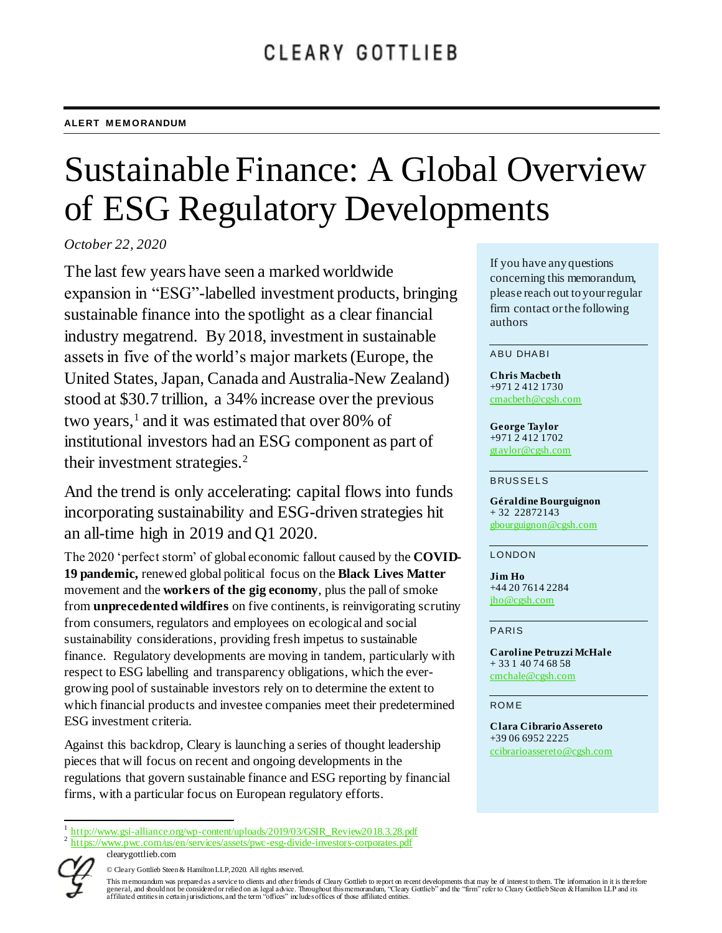# Sustainable Finance: A Global Overview of ESG Regulatory Developments

*October 22, 2020*

The last few years have seen a marked worldwide expansion in "ESG"-labelled investment products, bringing sustainable finance into the spotlight as a clear financial industry megatrend. By 2018, investment in sustainable assets in five of the world's major markets (Europe, the United States, Japan, Canada and Australia-New Zealand) stood at \$30.7 trillion, a 34% increase over the previous two years, 1 and it was estimated that over 80% of institutional investors had an ESG component as part of their investment strategies.<sup>2</sup>

And the trend is only accelerating: capital flows into funds incorporating sustainability and ESG-driven strategies hit an all-time high in 2019 and Q1 2020.

The 2020 'perfect storm' of global economic fallout caused by the **COVID-19 pandemic,** renewed global political focus on the **Black Lives Matter** movement and the **workers of the gig economy**, plus the pall of smoke from **unprecedented wildfires** on five continents, is reinvigorating scrutiny from consumers, regulators and employees on ecological and social sustainability considerations, providing fresh impetus to sustainable finance. Regulatory developments are moving in tandem, particularly with respect to ESG labelling and transparency obligations, which the evergrowing pool of sustainable investors rely on to determine the extent to which financial products and investee companies meet their predetermined ESG investment criteria.

Against this backdrop, Cleary is launching a series of thought leadership pieces that will focus on recent and ongoing developments in the regulations that govern sustainable finance and ESG reporting by financial firms, with a particular focus on European regulatory efforts.

If you have any questions concerning this memorandum, please reach out to your regular firm contact or the following authors

#### ABU DHABI

**Chris Macbeth** +971 2 412 1730 [cmacbeth@cgsh.com](mailto:cmacbeth@cgsh.com)

**George Taylor** +971 2 412 1702 [gtaylor@cgsh.com](mailto:gtaylor@cgsh.com)

#### **BRUSSELS**

**Géraldine Bourguignon** + 32 22872143 [gbourguignon@cgsh.com](mailto:gbourguignon@cgsh.com)

#### **LONDON**

**Jim Ho** +44 20 7614 2284 jho@cgsh.com

#### PARIS

**Caroline Petruzzi McHale** + 33 1 40 74 68 58 [cmchale@cgsh.com](mailto:cmchale@cgsh.com)

#### **ROME**

**Clara Cibrario Assereto** +39 06 6952 2225 [ccibrarioassereto@cgsh.com](mailto:ccibrarioassereto@cgsh.com)

 $\overline{\phantom{a}}$ 1 [http://www.gsi-alliance.org/wp-content/uploads/2019/03/GSIR\\_Review2018.3.28.pdf](http://www.gsi-alliance.org/wp-content/uploads/2019/03/GSIR_Review2018.3.28.pdf)

clearygottlieb.com 2 <https://www.pwc.com/us/en/services/assets/pwc-esg-divide-investors-corporates.pdf>

<sup>©</sup> Cleary Gottlieb Steen & Hamilton LLP, 2020. All rights reserved.

This memorandum was prepared as a service to clients and other friends of Cleary Gottlieb to report on recent developments that may be of interest to them. The information in it is there fore<br>general, and should not be con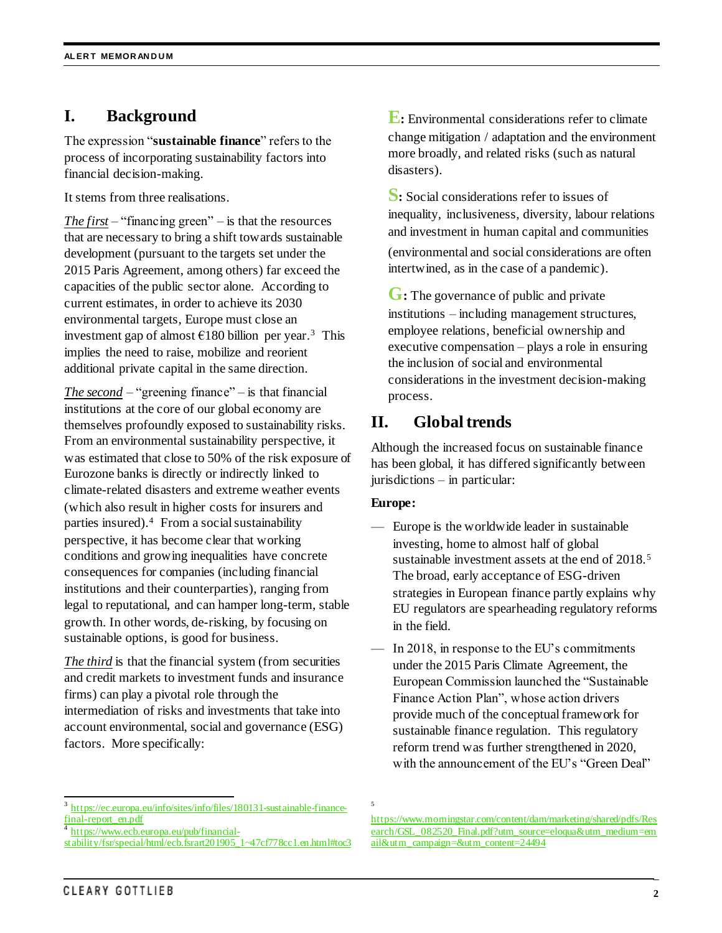# **I. Background**

The expression "**sustainable finance**" refers to the process of incorporating sustainability factors into financial decision-making.

It stems from three realisations.

*The first* – "financing green" – is that the resources that are necessary to bring a shift towards sustainable development (pursuant to the targets set under the 2015 Paris Agreement, among others) far exceed the capacities of the public sector alone. According to current estimates, in order to achieve its 2030 environmental targets, Europe must close an investment gap of almost  $\epsilon$ 180 billion per year.<sup>3</sup> This implies the need to raise, mobilize and reorient additional private capital in the same direction.

*The second* – "greening finance" – is that financial institutions at the core of our global economy are themselves profoundly exposed to sustainability risks. From an environmental sustainability perspective, it was estimated that close to 50% of the risk exposure of Eurozone banks is directly or indirectly linked to climate-related disasters and extreme weather events (which also result in higher costs for insurers and parties insured). 4 From a social sustainability perspective, it has become clear that working conditions and growing inequalities have concrete consequences for companies (including financial institutions and their counterparties), ranging from legal to reputational, and can hamper long-term, stable growth. In other words, de-risking, by focusing on sustainable options, is good for business.

*The third* is that the financial system (from securities and credit markets to investment funds and insurance firms) can play a pivotal role through the intermediation of risks and investments that take into account environmental, social and governance (ESG) factors. More specifically:

**E**: Environmental considerations refer to climate change mitigation / adaptation and the environment more broadly, and related risks (such as natural disasters).

**S:** Social considerations refer to issues of inequality, inclusiveness, diversity, labour relations and investment in human capital and communities (environmental and social considerations are often intertwined, as in the case of a pandemic).

G: The governance of public and private institutions – including management structures, employee relations, beneficial ownership and executive compensation – plays a role in ensuring the inclusion of social and environmental considerations in the investment decision-making process.

# **II. Global trends**

Although the increased focus on sustainable finance has been global, it has differed significantly between jurisdictions – in particular:

## **Europe:**

5

- Europe is the worldwide leader in sustainable investing, home to almost half of global sustainable investment assets at the end of 2018.<sup>5</sup> The broad, early acceptance of ESG-driven strategies in European finance partly explains why EU regulators are spearheading regulatory reforms in the field.
- In 2018, in response to the EU's commitments under the 2015 Paris Climate Agreement, the European Commission launched the "Sustainable Finance Action Plan", whose action drivers provide much of the conceptual framework for sustainable finance regulation. This regulatory reform trend was further strengthened in 2020, with the announcement of the EU's "Green Deal"

 $\overline{\phantom{a}}$ 3 [https://ec.europa.eu/info/sites/info/files/180131-sustainable-finance](https://ec.europa.eu/info/sites/info/files/180131-sustainable-finance-final-report_en.pdf)[final-report\\_en.pdf](https://ec.europa.eu/info/sites/info/files/180131-sustainable-finance-final-report_en.pdf)

<sup>4</sup> [https://www.ecb.europa.eu/pub/financial-](https://www.ecb.europa.eu/pub/financial-stability/fsr/special/html/ecb.fsrart201905_1~47cf778cc1.en.html#toc3)

[stability/fsr/special/html/ecb.fsrart201905\\_1~47cf778cc1.en.html#toc3](https://www.ecb.europa.eu/pub/financial-stability/fsr/special/html/ecb.fsrart201905_1~47cf778cc1.en.html#toc3)

[https://www.morningstar.com/content/dam/marketing/shared/pdfs/Res](https://www.morningstar.com/content/dam/marketing/shared/pdfs/Research/GSL_082520_Final.pdf?utm_source=eloqua&utm_medium=email&utm_campaign=&utm_content=24494) [earch/GSL\\_082520\\_Final.pdf?utm\\_source=eloqua&utm\\_medium=em](https://www.morningstar.com/content/dam/marketing/shared/pdfs/Research/GSL_082520_Final.pdf?utm_source=eloqua&utm_medium=email&utm_campaign=&utm_content=24494) [ail&utm\\_campaign=&utm\\_content=24494](https://www.morningstar.com/content/dam/marketing/shared/pdfs/Research/GSL_082520_Final.pdf?utm_source=eloqua&utm_medium=email&utm_campaign=&utm_content=24494)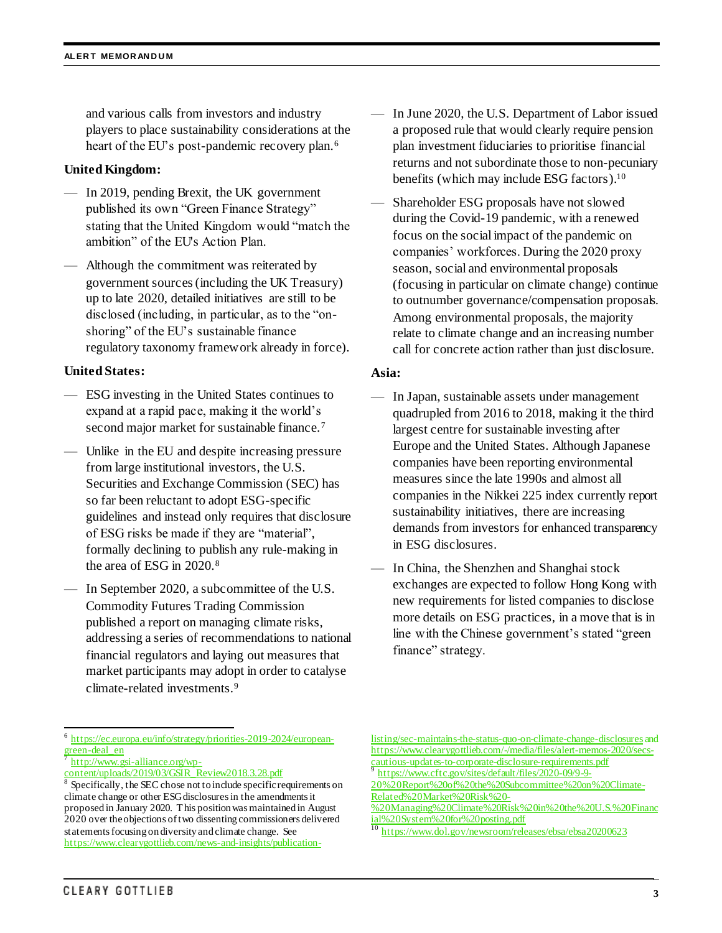and various calls from investors and industry players to place sustainability considerations at the heart of the EU's post-pandemic recovery plan.<sup>6</sup>

#### **United Kingdom:**

- In 2019, pending Brexit, the UK government published its own "Green Finance Strategy" stating that the United Kingdom would "match the ambition" of the EU's Action Plan.
- Although the commitment was reiterated by government sources (including the UK Treasury) up to late 2020, detailed initiatives are still to be disclosed (including, in particular, as to the "onshoring" of the EU's sustainable finance regulatory taxonomy framework already in force).

## **United States:**

- ESG investing in the United States continues to expand at a rapid pace, making it the world's second major market for sustainable finance.<sup>7</sup>
- Unlike in the EU and despite increasing pressure from large institutional investors, the U.S. Securities and Exchange Commission (SEC) has so far been reluctant to adopt ESG-specific guidelines and instead only requires that disclosure of ESG risks be made if they are "material", formally declining to publish any rule-making in the area of ESG in 2020.<sup>8</sup>
- In September 2020, a subcommittee of the U.S. Commodity Futures Trading Commission published a report on managing climate risks, addressing a series of recommendations to national financial regulators and laying out measures that market participants may adopt in order to catalyse climate-related investments.<sup>9</sup>
- In June 2020, the U.S. Department of Labor issued a proposed rule that would clearly require pension plan investment fiduciaries to prioritise financial returns and not subordinate those to non-pecuniary benefits (which may include ESG factors).<sup>10</sup>
- Shareholder ESG proposals have not slowed during the Covid-19 pandemic, with a renewed focus on the social impact of the pandemic on companies' workforces. During the 2020 proxy season, social and environmental proposals (focusing in particular on climate change) continue to outnumber governance/compensation proposals. Among environmental proposals, the majority relate to climate change and an increasing number call for concrete action rather than just disclosure.

## **Asia:**

- In Japan, sustainable assets under management quadrupled from 2016 to 2018, making it the third largest centre for sustainable investing after Europe and the United States. Although Japanese companies have been reporting environmental measures since the late 1990s and almost all companies in the Nikkei 225 index currently report sustainability initiatives, there are increasing demands from investors for enhanced transparency in ESG disclosures.
- In China, the Shenzhen and Shanghai stock exchanges are expected to follow Hong Kong with new requirements for listed companies to disclose more details on ESG practices, in a move that is in line with the Chinese government's stated "green finance" strategy.

 6 [https://ec.europa.eu/info/strategy/priorities-2019-2024/european](https://ec.europa.eu/info/strategy/priorities-2019-2024/european-green-deal_en)[green-deal\\_en](https://ec.europa.eu/info/strategy/priorities-2019-2024/european-green-deal_en) 7

[http://www.gsi-alliance.org/wp](http://www.gsi-alliance.org/wp-content/uploads/2019/03/GSIR_Review2018.3.28.pdf)[content/uploads/2019/03/GSIR\\_Review2018.3.28.pdf](http://www.gsi-alliance.org/wp-content/uploads/2019/03/GSIR_Review2018.3.28.pdf)

<sup>8</sup> Specifically, the SEC chose not to include specific requirements on climate change or other ESG disclosuresin the amendments it proposed in January 2020. This position was maintained in August 2020 over the objections of two dissenting commissioners delivered statements focusing on diversity and climate change. See [https://www.clearygottlieb.com/news-and-insights/publication-](https://www.clearygottlieb.com/news-and-insights/publication-listing/sec-maintains-the-status-quo-on-climate-change-disclosures)

[listing/sec-maintains-the-status-quo-on-climate-change-disclosures](https://www.clearygottlieb.com/news-and-insights/publication-listing/sec-maintains-the-status-quo-on-climate-change-disclosures) and [https://www.clearygottlieb.com/-/media/files/alert-memos-2020/secs](https://www.clearygottlieb.com/-/media/files/alert-memos-2020/secs-cautious-updates-to-corporate-disclosure-requirements.pdf)[cautious-updates-to-corporate-disclosure-requirements.pdf](https://www.clearygottlieb.com/-/media/files/alert-memos-2020/secs-cautious-updates-to-corporate-disclosure-requirements.pdf) 9

[https://www.cftc.gov/sites/default/files/2020-09/9-9-](https://www.cftc.gov/sites/default/files/2020-09/9-9-20%20Report%20of%20the%20Subcommittee%20on%20Climate-Related%20Market%20Risk%20-%20Managing%20Climate%20Risk%20in%20the%20U.S.%20Financial%20System%20for%20posting.pdf) [20%20Report%20of%20the%20Subcommittee%20on%20Climate-](https://www.cftc.gov/sites/default/files/2020-09/9-9-20%20Report%20of%20the%20Subcommittee%20on%20Climate-Related%20Market%20Risk%20-%20Managing%20Climate%20Risk%20in%20the%20U.S.%20Financial%20System%20for%20posting.pdf)

[Related%20Market%20Risk%20-](https://www.cftc.gov/sites/default/files/2020-09/9-9-20%20Report%20of%20the%20Subcommittee%20on%20Climate-Related%20Market%20Risk%20-%20Managing%20Climate%20Risk%20in%20the%20U.S.%20Financial%20System%20for%20posting.pdf)

[<sup>%20</sup>Managing%20Climate%20Risk%20in%20the%20U.S.%20Financ](https://www.cftc.gov/sites/default/files/2020-09/9-9-20%20Report%20of%20the%20Subcommittee%20on%20Climate-Related%20Market%20Risk%20-%20Managing%20Climate%20Risk%20in%20the%20U.S.%20Financial%20System%20for%20posting.pdf) [ial%20System%20for%20posting.pdf](https://www.cftc.gov/sites/default/files/2020-09/9-9-20%20Report%20of%20the%20Subcommittee%20on%20Climate-Related%20Market%20Risk%20-%20Managing%20Climate%20Risk%20in%20the%20U.S.%20Financial%20System%20for%20posting.pdf)

<sup>&</sup>lt;sup>10</sup> <https://www.dol.gov/newsroom/releases/ebsa/ebsa20200623>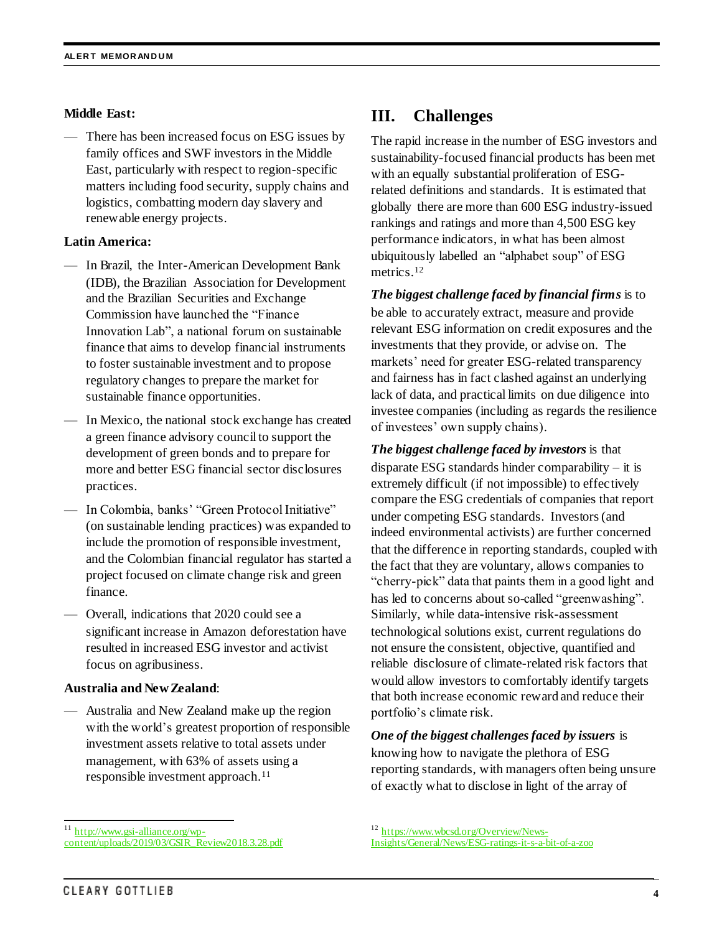#### **Middle East:**

There has been increased focus on ESG issues by family offices and SWF investors in the Middle East, particularly with respect to region-specific matters including food security, supply chains and logistics, combatting modern day slavery and renewable energy projects.

## **Latin America:**

- In Brazil, the Inter-American Development Bank (IDB), the Brazilian Association for Development and the Brazilian Securities and Exchange Commission have launched the "Finance Innovation Lab", a national forum on sustainable finance that aims to develop financial instruments to foster sustainable investment and to propose regulatory changes to prepare the market for sustainable finance opportunities.
- In Mexico, the national stock exchange has created a green finance advisory council to support the development of green bonds and to prepare for more and better ESG financial sector disclosures practices.
- In Colombia, banks' "Green Protocol Initiative" (on sustainable lending practices) was expanded to include the promotion of responsible investment, and the Colombian financial regulator has started a project focused on climate change risk and green finance.
- Overall, indications that 2020 could see a significant increase in Amazon deforestation have resulted in increased ESG investor and activist focus on agribusiness.

#### **Australia and New Zealand**:

— Australia and New Zealand make up the region with the world's greatest proportion of responsible investment assets relative to total assets under management, with 63% of assets using a responsible investment approach. 11

# **III. Challenges**

The rapid increase in the number of ESG investors and sustainability-focused financial products has been met with an equally substantial proliferation of ESGrelated definitions and standards. It is estimated that globally there are more than 600 ESG industry-issued rankings and ratings and more than 4,500 ESG key performance indicators, in what has been almost ubiquitously labelled an "alphabet soup" of ESG metrics.<sup>12</sup>

*The biggest challenge faced by financial firms* is to be able to accurately extract, measure and provide relevant ESG information on credit exposures and the investments that they provide, or advise on. The markets' need for greater ESG-related transparency and fairness has in fact clashed against an underlying lack of data, and practical limits on due diligence into investee companies (including as regards the resilience of investees' own supply chains).

*The biggest challenge faced by investors* is that disparate ESG standards hinder comparability – it is extremely difficult (if not impossible) to effectively compare the ESG credentials of companies that report under competing ESG standards. Investors (and indeed environmental activists) are further concerned that the difference in reporting standards, coupled with the fact that they are voluntary, allows companies to "cherry-pick" data that paints them in a good light and has led to concerns about so-called "greenwashing". Similarly, while data-intensive risk-assessment technological solutions exist, current regulations do not ensure the consistent, objective, quantified and reliable disclosure of climate-related risk factors that would allow investors to comfortably identify targets that both increase economic reward and reduce their portfolio's climate risk.

*One of the biggest challenges faced by issuers* is knowing how to navigate the plethora of ESG reporting standards, with managers often being unsure of exactly what to disclose in light of the array of

 $\overline{\phantom{a}}$ <sup>11</sup> [http://www.gsi-alliance.org/wp](http://www.gsi-alliance.org/wp-content/uploads/2019/03/GSIR_Review2018.3.28.pdf)[content/uploads/2019/03/GSIR\\_Review2018.3.28.pdf](http://www.gsi-alliance.org/wp-content/uploads/2019/03/GSIR_Review2018.3.28.pdf)

<sup>&</sup>lt;sup>12</sup> [https://www.wbcsd.org/Overview/News-](https://www.wbcsd.org/Overview/News-Insights/General/News/ESG-ratings-it-s-a-bit-of-a-zoo)[Insights/General/News/ESG-ratings-it-s-a-bit-of-a-zoo](https://www.wbcsd.org/Overview/News-Insights/General/News/ESG-ratings-it-s-a-bit-of-a-zoo)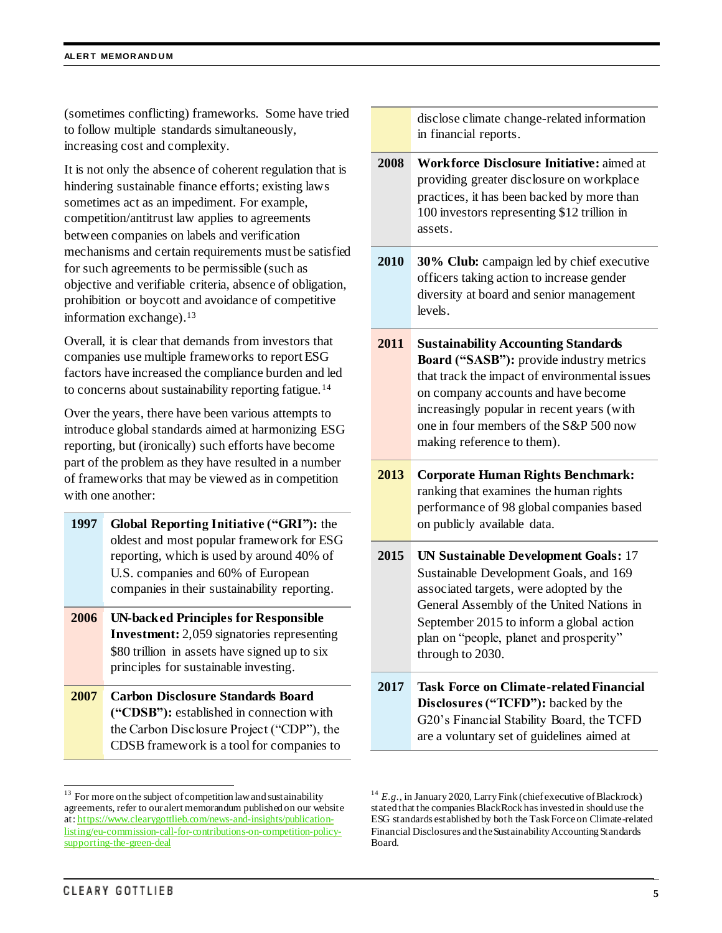(sometimes conflicting) frameworks. Some have tried to follow multiple standards simultaneously, increasing cost and complexity.

It is not only the absence of coherent regulation that is hindering sustainable finance efforts; existing laws sometimes act as an impediment. For example, competition/antitrust law applies to agreements between companies on labels and verification mechanisms and certain requirements must be satisfied for such agreements to be permissible (such as objective and verifiable criteria, absence of obligation, prohibition or boycott and avoidance of competitive information exchange). 13

Overall, it is clear that demands from investors that companies use multiple frameworks to report ESG factors have increased the compliance burden and led to concerns about sustainability reporting fatigue.<sup>14</sup>

Over the years, there have been various attempts to introduce global standards aimed at harmonizing ESG reporting, but (ironically) such efforts have become part of the problem as they have resulted in a number of frameworks that may be viewed as in competition with one another:

- **1997 Global Reporting Initiative ("GRI"):** the oldest and most popular framework for ESG reporting, which is used by around 40% of U.S. companies and 60% of European companies in their sustainability reporting.
- **2006 UN-backed Principles for Responsible Investment:** 2,059 signatories representing \$80 trillion in assets have signed up to six principles for sustainable investing.
- **2007 Carbon Disclosure Standards Board ("CDSB"):** established in connection with the Carbon Disclosure Project ("CDP"), the CDSB framework is a tool for companies to

disclose climate change-related information in financial reports.

- **2008 Workforce Disclosure Initiative:** aimed at providing greater disclosure on workplace practices, it has been backed by more than 100 investors representing \$12 trillion in assets.
- **2010 30% Club:** campaign led by chief executive officers taking action to increase gender diversity at board and senior management levels.
- **2011 Sustainability Accounting Standards Board ("SASB"):** provide industry metrics that track the impact of environmental issues on company accounts and have become increasingly popular in recent years (with one in four members of the S&P 500 now making reference to them).
- **2013 Corporate Human Rights Benchmark:** ranking that examines the human rights performance of 98 global companies based on publicly available data.
- **2015 UN Sustainable Development Goals:** 17 Sustainable Development Goals, and 169 associated targets, were adopted by the General Assembly of the United Nations in September 2015 to inform a global action plan on "people, planet and prosperity" through to 2030.
- **2017 Task Force on Climate-related Financial Disclosures ("TCFD"):** backed by the G20's Financial Stability Board, the TCFD are a voluntary set of guidelines aimed at

 $\overline{\phantom{a}}$ 

 $13$  For more on the subject of competition law and sustainability agreements, refer to our alert memorandum published on our website at[: https://www.clearygottlieb.com/news-and-insights/publication](https://www.clearygottlieb.com/news-and-insights/publication-listing/eu-commission-call-for-contributions-on-competition-policy-supporting-the-green-deal)[listing/eu-commission-call-for-contributions-on-competition-policy](https://www.clearygottlieb.com/news-and-insights/publication-listing/eu-commission-call-for-contributions-on-competition-policy-supporting-the-green-deal)[supporting-the-green-deal](https://www.clearygottlieb.com/news-and-insights/publication-listing/eu-commission-call-for-contributions-on-competition-policy-supporting-the-green-deal)

<sup>&</sup>lt;sup>14</sup>  $E.g.,$  in January 2020, Larry Fink (chief executive of Blackrock) stated that the companies BlackRock has invested in should use the ESG standards established by both the Task Force on Climate-related Financial Disclosures and the Sustainability Accounting Standards Board.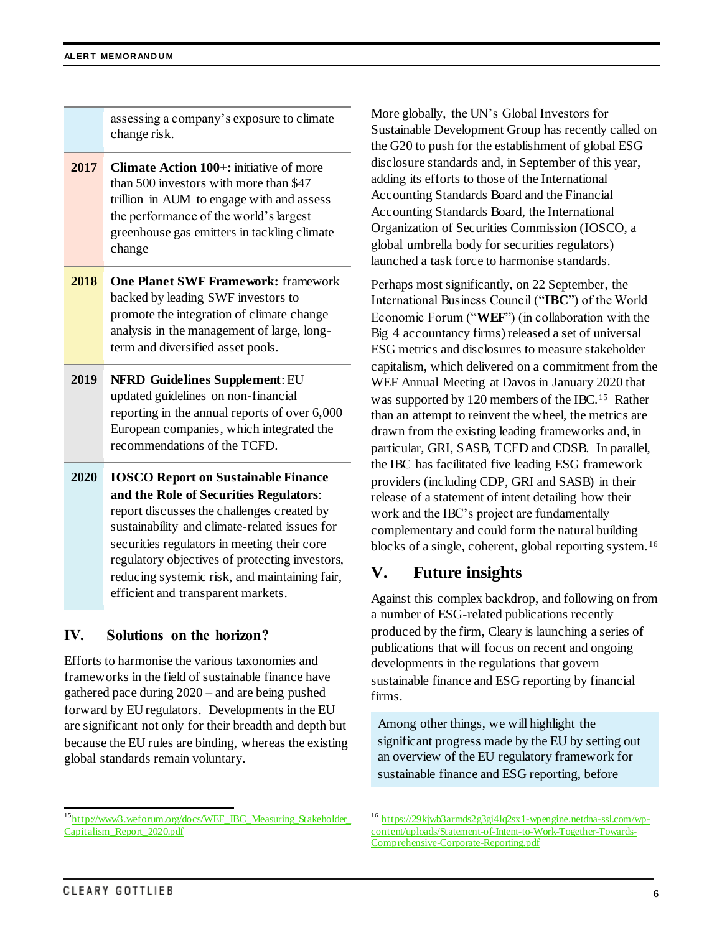assessing a company's exposure to climate change risk.

- **2017 Climate Action 100+:** initiative of more than 500 investors with more than \$47 trillion in AUM to engage with and assess the performance of the world's largest greenhouse gas emitters in tackling climate change
- **2018 One Planet SWF Framework:** framework backed by leading SWF investors to promote the integration of climate change analysis in the management of large, longterm and diversified asset pools.
- **2019 NFRD Guidelines Supplement**: EU updated guidelines on non-financial reporting in the annual reports of over 6,000 European companies, which integrated the recommendations of the TCFD.
- **2020 IOSCO Report on Sustainable Finance and the Role of Securities Regulators**: report discusses the challenges created by sustainability and climate-related issues for securities regulators in meeting their core regulatory objectives of protecting investors, reducing systemic risk, and maintaining fair, efficient and transparent markets.

# **IV. Solutions on the horizon?**

Efforts to harmonise the various taxonomies and frameworks in the field of sustainable finance have gathered pace during 2020 – and are being pushed forward by EUregulators. Developments in the EU are significant not only for their breadth and depth but because the EU rules are binding, whereas the existing global standards remain voluntary.

More globally, the UN's Global Investors for Sustainable Development Group has recently called on the G20 to push for the establishment of global ESG disclosure standards and, in September of this year, adding its efforts to those of the International Accounting Standards Board and the Financial Accounting Standards Board, the International Organization of Securities Commission (IOSCO, a global umbrella body for securities regulators) launched a task force to harmonise standards.

Perhaps most significantly, on 22 September, the International Business Council ("**IBC**") of the World Economic Forum ("**WEF**") (in collaboration with the Big 4 accountancy firms) released a set of universal ESG metrics and disclosures to measure stakeholder capitalism, which delivered on a commitment from the WEF Annual Meeting at Davos in January 2020 that was supported by 120 members of the IBC.<sup>15</sup> Rather than an attempt to reinvent the wheel, the metrics are drawn from the existing leading frameworks and, in particular, GRI, SASB, TCFD and CDSB. In parallel, the IBC has facilitated five leading ESG framework providers (including CDP, GRI and SASB) in their release of a statement of intent detailing how their work and the IBC's project are fundamentally complementary and could form the natural building blocks of a single, coherent, global reporting system.<sup>16</sup>

# **V. Future insights**

Against this complex backdrop, and following on from a number of ESG-related publications recently produced by the firm, Cleary is launching a series of publications that will focus on recent and ongoing developments in the regulations that govern sustainable finance and ESG reporting by financial firms.

Among other things, we will highlight the significant progress made by the EU by setting out an overview of the EU regulatory framework for sustainable finance and ESG reporting, before

 $\overline{\phantom{a}}$ <sup>15</sup>[http://www3.weforum.org/docs/WEF\\_IBC\\_Measuring\\_Stakeholder\\_](http://www3.weforum.org/docs/WEF_IBC_Measuring_Stakeholder_Capitalism_Report_2020.pdf) [Capitalism\\_Report\\_2020.pdf](http://www3.weforum.org/docs/WEF_IBC_Measuring_Stakeholder_Capitalism_Report_2020.pdf)

<sup>&</sup>lt;sup>16</sup> [https://29kjwb3armds2g3gi4lq2sx1-wpengine.netdna-ssl.com/wp](https://29kjwb3armds2g3gi4lq2sx1-wpengine.netdna-ssl.com/wp-content/uploads/Statement-of-Intent-to-Work-Together-Towards-Comprehensive-Corporate-Reporting.pdf)[content/uploads/Statement-of-Intent-to-Work-Together-Towards-](https://29kjwb3armds2g3gi4lq2sx1-wpengine.netdna-ssl.com/wp-content/uploads/Statement-of-Intent-to-Work-Together-Towards-Comprehensive-Corporate-Reporting.pdf)[Comprehensive-Corporate-Reporting.pdf](https://29kjwb3armds2g3gi4lq2sx1-wpengine.netdna-ssl.com/wp-content/uploads/Statement-of-Intent-to-Work-Together-Towards-Comprehensive-Corporate-Reporting.pdf)